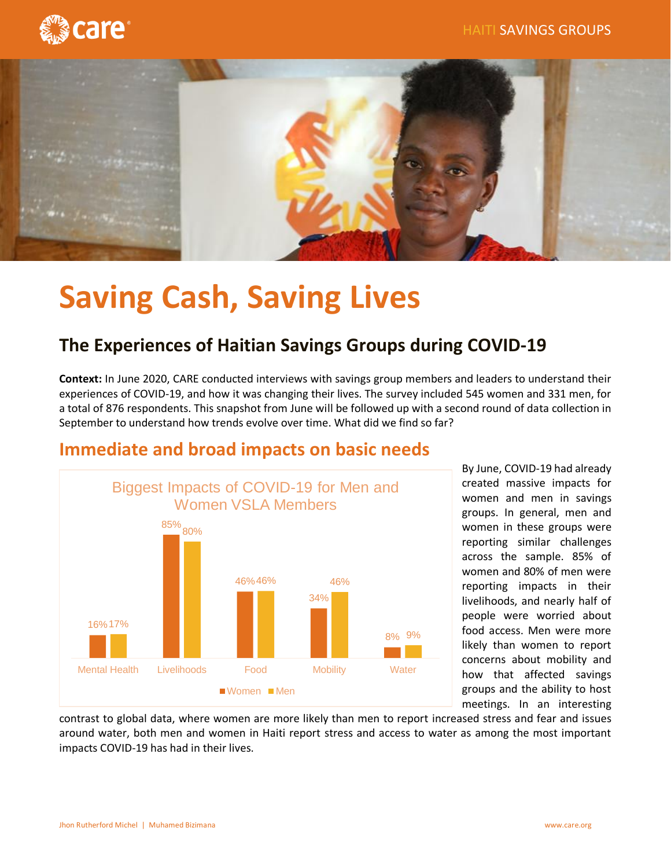



# **Saving Cash, Saving Lives**

## **The Experiences of Haitian Savings Groups during COVID-19**

**Context:** In June 2020, CARE conducted interviews with savings group members and leaders to understand their experiences of COVID-19, and how it was changing their lives. The survey included 545 women and 331 men, for a total of 876 respondents. This snapshot from June will be followed up with a second round of data collection in September to understand how trends evolve over time. What did we find so far?



By June, COVID-19 had already created massive impacts for women and men in savings groups. In general, men and women in these groups were reporting similar challenges across the sample. 85% of women and 80% of men were reporting impacts in their livelihoods, and nearly half of people were worried about food access. Men were more likely than women to report concerns about mobility and how that affected savings groups and the ability to host meetings. In an interesting

contrast to global data, where women are more likely than men to report increased stress and fear and issues around water, both men and women in Haiti report stress and access to water as among the most important impacts COVID-19 has had in their lives.

## **Immediate and broad impacts on basic needs**